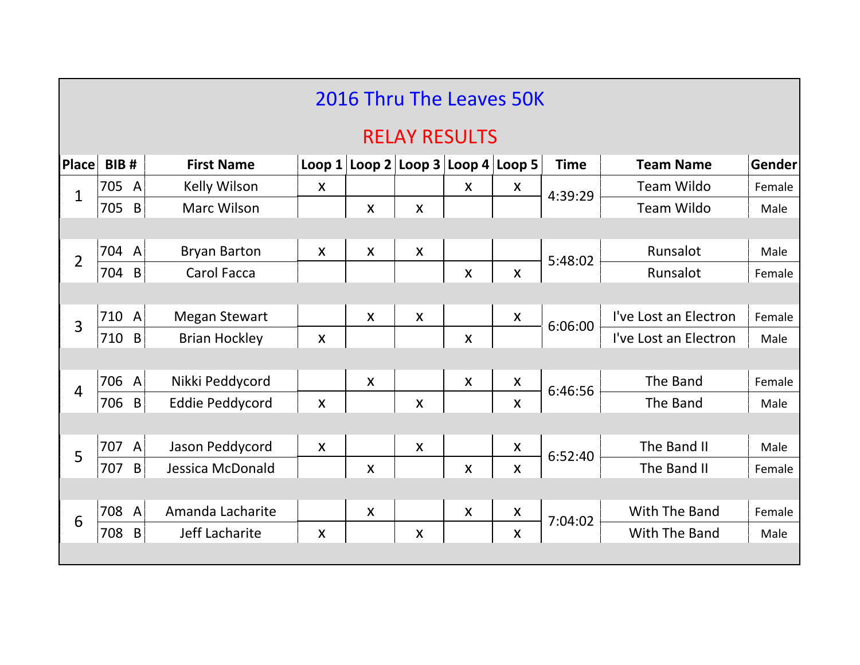